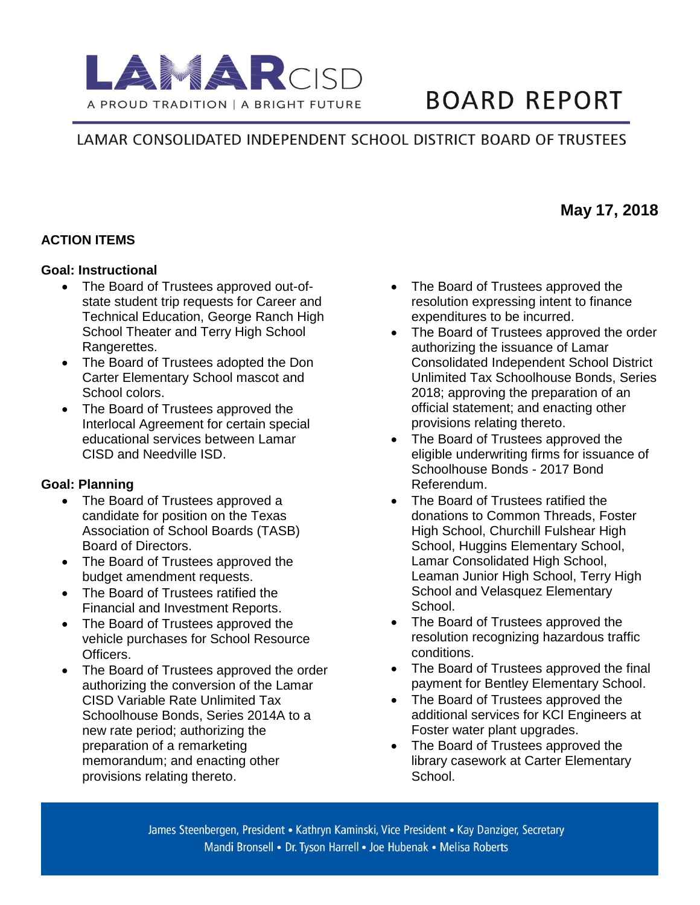

# **BOARD REPORT**

# LAMAR CONSOLIDATED INDEPENDENT SCHOOL DISTRICT BOARD OF TRUSTEES

### **ACTION ITEMS**

#### **Goal: Instructional**

- The Board of Trustees approved out-ofstate student trip requests for Career and Technical Education, George Ranch High School Theater and Terry High School Rangerettes.
- The Board of Trustees adopted the Don Carter Elementary School mascot and School colors.
- The Board of Trustees approved the Interlocal Agreement for certain special educational services between Lamar CISD and Needville ISD.

#### **Goal: Planning**

- The Board of Trustees approved a candidate for position on the Texas Association of School Boards (TASB) Board of Directors.
- The Board of Trustees approved the budget amendment requests.
- The Board of Trustees ratified the Financial and Investment Reports.
- The Board of Trustees approved the vehicle purchases for School Resource Officers.
- The Board of Trustees approved the order authorizing the conversion of the Lamar CISD Variable Rate Unlimited Tax Schoolhouse Bonds, Series 2014A to a new rate period; authorizing the preparation of a remarketing memorandum; and enacting other provisions relating thereto.
- The Board of Trustees approved the resolution expressing intent to finance expenditures to be incurred.
- The Board of Trustees approved the order authorizing the issuance of Lamar Consolidated Independent School District Unlimited Tax Schoolhouse Bonds, Series 2018; approving the preparation of an official statement; and enacting other provisions relating thereto.
- The Board of Trustees approved the eligible underwriting firms for issuance of Schoolhouse Bonds - 2017 Bond Referendum.
- The Board of Trustees ratified the donations to Common Threads, Foster High School, Churchill Fulshear High School, Huggins Elementary School, Lamar Consolidated High School, Leaman Junior High School, Terry High School and Velasquez Elementary School.
- The Board of Trustees approved the resolution recognizing hazardous traffic conditions.
- The Board of Trustees approved the final payment for Bentley Elementary School.
- The Board of Trustees approved the additional services for KCI Engineers at Foster water plant upgrades.
- The Board of Trustees approved the library casework at Carter Elementary School.

James Steenbergen, President • Kathryn Kaminski, Vice President • Kay Danziger, Secretary Mandi Bronsell • Dr. Tyson Harrell • Joe Hubenak • Melisa Roberts

# **May 17, 2018**